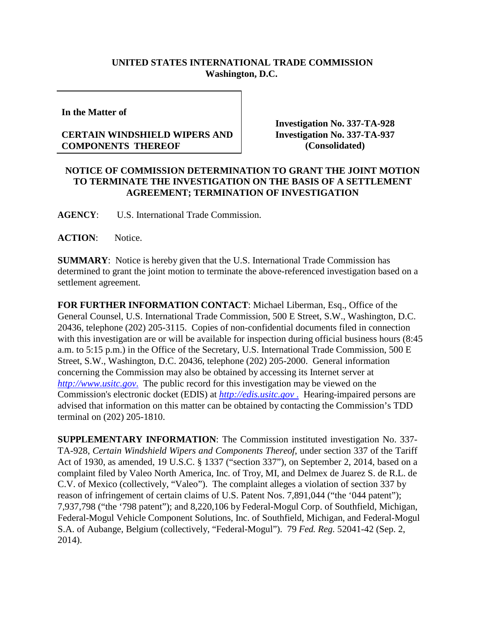## **UNITED STATES INTERNATIONAL TRADE COMMISSION Washington, D.C.**

**In the Matter of**

## **CERTAIN WINDSHIELD WIPERS AND COMPONENTS THEREOF**

**Investigation No. 337-TA-928 Investigation No. 337-TA-937 (Consolidated)**

## **NOTICE OF COMMISSION DETERMINATION TO GRANT THE JOINT MOTION TO TERMINATE THE INVESTIGATION ON THE BASIS OF A SETTLEMENT AGREEMENT; TERMINATION OF INVESTIGATION**

**AGENCY**: U.S. International Trade Commission.

ACTION: Notice.

**SUMMARY**: Notice is hereby given that the U.S. International Trade Commission has determined to grant the joint motion to terminate the above-referenced investigation based on a settlement agreement.

**FOR FURTHER INFORMATION CONTACT**: Michael Liberman, Esq., Office of the General Counsel, U.S. International Trade Commission, 500 E Street, S.W., Washington, D.C. 20436, telephone (202) 205-3115. Copies of non-confidential documents filed in connection with this investigation are or will be available for inspection during official business hours (8:45 a.m. to 5:15 p.m.) in the Office of the Secretary, U.S. International Trade Commission, 500 E Street, S.W., Washington, D.C. 20436, telephone (202) 205-2000. General information concerning the Commission may also be obtained by accessing its Internet server at *[http://www.usitc.gov](http://www.usitc.gov./)*. The public record for this investigation may be viewed on the Commission's electronic docket (EDIS) at *http://edis.usitc.gov* . Hearing-impaired persons are advised that information on this matter can be obtained by contacting the Commission's TDD terminal on (202) 205-1810.

**SUPPLEMENTARY INFORMATION**: The Commission instituted investigation No. 337- TA-928, *Certain Windshield Wipers and Components Thereof*, under section 337 of the Tariff Act of 1930, as amended, 19 U.S.C. § 1337 ("section 337"), on September 2, 2014, based on a complaint filed by Valeo North America, Inc. of Troy, MI, and Delmex de Juarez S. de R.L. de C.V. of Mexico (collectively, "Valeo"). The complaint alleges a violation of section 337 by reason of infringement of certain claims of U.S. Patent Nos. 7,891,044 ("the '044 patent"); 7,937,798 ("the '798 patent"); and 8,220,106 by Federal-Mogul Corp. of Southfield, Michigan, Federal-Mogul Vehicle Component Solutions, Inc. of Southfield, Michigan, and Federal-Mogul S.A. of Aubange, Belgium (collectively, "Federal-Mogul"). 79 *Fed. Reg.* 52041-42 (Sep. 2, 2014).